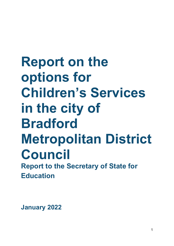# **Report on the options for Children's Services in the city of Bradford Metropolitan District Council Report to the Secretary of State for Education**

**January 2022**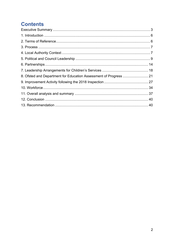# **Contents**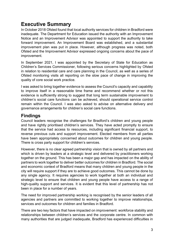# <span id="page-2-0"></span>**Executive Summary**

In October 2018 Ofsted found that local authority services for children in Bradford were inadequate. The Department for Education issued the authority with an Improvement Notice and an Improvement Advisor was appointed to support the authority to take forward improvement. An Improvement Board was established, and a substantial improvement plan was put in place. However, although progress was noted, both Ofsted and the Improvement Advisor expressed ongoing concerns about the pace of improvement.

In September 2021, I was appointed by the Secretary of State for Education as Children's Services Commissioner, following serious concerns highlighted by Ofsted in relation to residential care and care planning in the Council, as well as a series of Ofsted monitoring visits all reporting on the slow pace of change in improving the quality of core social work practice.

I was asked to bring together evidence to assess the Council's capacity and capability to improve itself in a reasonable time frame and recommend whether or not this evidence is sufficiently strong to suggest that long term sustainable improvement to children's social care functions can be achieved, should operational service control remain within the Council. I was also asked to advise on alternative delivery and governance arrangements for children's social care functions.

# **Findings**

Council leaders recognise the challenges for Bradford's children and young people and have rightly prioritised children's services. They have acted promptly to ensure that the service had access to resources, including significant financial support, to reverse previous cuts and support improvement. Elected members from all parties have been appropriately concerned about outcomes for children and young people. There is cross party support for children's services.

However, there is no clear agreed partnership vision that is owned by all partners and which is driven by leaders at a strategic level and delivered by practitioners working together on the ground. This has been a major gap and has impacted on the ability of partners to work together to deliver better outcomes for children in Bradford. The social and economic context of Bradford means that many children and young people in the city will require support if they are to achieve good outcomes. This cannot be done by any single agency. It requires agencies to work together at both an individual and strategic level to ensure that children and young people have access to a range of high-quality support and services. It is evident that this level of partnership has not been in place for a number of years.

The need for improved partnership working is recognised by the senior leaders of all agencies and partners are committed to working together to improve relationships, services and outcomes for children and families in Bradford.

There are two key factors that have impacted on improvement: workforce stability and relationships between children's services and the corporate centre. In common with many authorities that are judged inadequate, Bradford has experienced difficulties in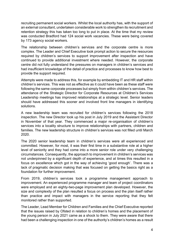recruiting permanent social workers. Whilst the local authority has, with the support of an external consultant, undertaken considerable work to strengthen its recruitment and retention strategy this has taken too long to put in place. At the time that my review was conducted Bradford had 124 social work vacancies. These were being covered by 173 agency social workers.

The relationship between children's services and the corporate centre is more complex. The Leader and Chief Executive took prompt action to secure the resources required by children's services to support improvement after inspection and have continued to provide additional investment where needed. However, the corporate centre did not fully understand the pressures on managers in children's services and had insufficient knowledge of the detail of practice and processes to know how best to provide the support required.

Attempts were made to address this, for example by embedding IT and HR staff within children's services. This was not as effective as it could have been as these staff were following the same corporate processes but simply from within children's services. The attendance of the Strategic Director for Corporate Resources at Children's Services Leadership meetings has improved relationships at a strategic level. Senior leaders should have addressed this sooner and involved front line managers in identifying solutions.

A new leadership team was recruited for children's services following the 2018 inspection. The new Director took up his post in July 2019 and the Assistant Director in November of that year. They commenced a major re-organisation of children's services into a locality structure to improve relationships with partners, children and families. The new leadership structure in children's services was not filled until March 2020.

The 2020 senior leadership team in children's services were all experienced and committed. However, for most, it was their first time in a substantive role at a higher level of seniority and they had come into a more senior role under very challenging circumstances. Consequently, the approach to improvement in children's services was not underpinned by a significant depth of experience, and at times this resulted in a focus on excellence which got in the way of achieving 'good enough'. There was a lack of pragmatic decision making that was focused on getting the basics right as a foundation for further improvement.

From 2019, children's services took a programme management approach to improvement. An experienced programme manager and team of project coordinators were employed and an eighty-two-page improvement plan developed. However, the size and complexity of the plan resulted a focus on process and the plan itself rather than practice and impact with managers in the service reporting that they felt monitored rather than supported.

The Leader, Lead Member for Children and Families and the Chief Executive reported that the issues raised by Ofsted in relation to children's homes and the placement of the young person in July 2021 came as a shock to them. They were aware that there had been a challenging inspection in one of the authority's children's homes as a result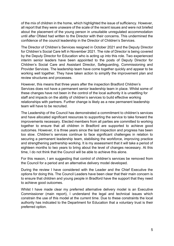of the mix of children in the home, which highlighted the issue of sufficiency. However, all report that they were unaware of the scale of the recent issues and were not briefed about the placement of the young person in unsuitable unregulated accommodation until after Ofsted had written to the Director with their concerns. This undermined the confidence of the council leadership in the Director of Children's Services.

The Director of Children's Services resigned in October 2021 and the Deputy Director for Children's Social Care left in November 2021. The role of Director is being covered by the Deputy Director for Education who is acting up into this role. Two experienced interim senior leaders have been appointed to the posts of Deputy Director for Children's Social Care and Assistant Director, Safeguarding, Commissioning and Provider Services. The leadership team have come together quickly and appear to be working well together. They have taken action to simplify the improvement plan and review structures and processes.

However, this means that three years after the inspection Bradford Children's Services does not have a permanent senior leadership team in place. Whilst some of these changes have not been in the control of the local authority it is unsettling for staff and impacts on the ability of children's services to build effective working relationships with partners. Further change is likely as a new permanent leadership team will have to be recruited.

The Leadership of the Council has demonstrated a commitment to children's services and have allocated significant resources to supporting the service to take forward the improvements necessary. Elected members from all parties are committed to working together to ensure that all children in Bradford are supported to achieve good outcomes. However, it is three years since the last inspection and progress has been too slow. Children's services continue to face significant challenges in relation to securing a permanent leadership team, stabilising the workforce, improving practice and strengthening partnership working. It is my assessment that it will take a period of eighteen months to two years to bring about the level of changes necessary. At this time, I do not think that the Council will be able to achieve this alone.

For this reason, I am suggesting that control of children's services be removed from the Council for a period and an alternative delivery model developed.

During the review I have considered with the Leader and the Chief Executive the options for doing this. The Council Leaders have been clear that their main concern is to ensure that children and young people in Bradford have the support that they need to achieve good outcomes.

Whilst I have made clear my preferred alternative delivery model is an Executive Commissioner (main report), I understand the legal and technical issues which constrain the use of this model at the current time. Due to these constraints the local authority has indicated to the Department for Education that a voluntary trust is their preferred option.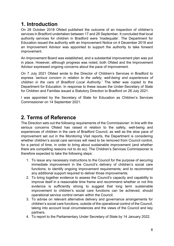# <span id="page-5-0"></span>**1. Introduction**

On 29 October 2018 Ofsted published the outcome of an inspection of children's services in Bradford undertaken between 17 and 28 September. It concluded that local authority services for children in Bradford were 'Inadequate'. The Department for Education issued the authority with an Improvement Notice on 4 December 2018 and an Improvement Advisor was appointed to support the authority to take forward improvement.

An Improvement Board was established, and a substantial improvement plan was put in place. However, although progress was noted, both Ofsted and the Improvement Advisor expressed ongoing concerns about the pace of improvement.

On 7 July 2021 Ofsted wrote to the Director of Children's Services in Bradford to express *'serious concern in relation to the safety, well-being and experiences of children in the care of Bradford Local Authority.*' The letter was copied to the Department for Education. In response to these issues the Under-Secretary of State for Children and Families issued a Statutory Direction to Bradford on 26 July 2021.

I was appointed by the Secretary of State for Education as Children's Services Commissioner on 14 September 2021.

# <span id="page-5-1"></span>**2. Terms of Reference**

The Direction sets out the following requirements of the Commissioner: In line with the serious concerns Ofsted has raised in relation to the safety, well-being and experiences of children in the care of Bradford Council, as well as the slow pace of improvement set out in the Monitoring Visit reports, the Department is considering whether children's social care services will need to be removed from Council control, for a period of time, in order to bring about sustainable improvement (and whether there are compelling reasons not to do so). The Children's Services Commissioner is therefore expected to take the following steps:

- 1. To issue any necessary instructions to the Council for the purpose of securing immediate improvement in the Council's delivery of children's social care functions; to identify ongoing improvement requirements; and to recommend any additional support required to deliver those improvements.
- 2. To bring together evidence to assess the Council's capacity and capability to improve itself in a reasonable time frame and recommend whether or not this evidence is sufficiently strong to suggest that long term sustainable improvement to children's social care functions can be achieved, should operational service control remain within the Council.
- 3. To advise on relevant alternative delivery and governance arrangements for children's social care functions, outside of the operational control of the Council, taking into account local circumstances and the views of the Council and key partners.
- 4. To report to the Parliamentary Under Secretary of State by 14 January 2022.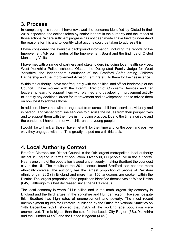# <span id="page-6-0"></span>**3. Process**

In completing this report, I have reviewed the concerns identified by Ofsted in their 2018 inspection, the actions taken by senior leaders in the authority and the impact of those actions. Where sufficient progress has not been made I have tried to understand the reasons for this and to identify what actions could be taken to address this.

I have considered the available background information, including the reports of the Improvement Advisor, minutes of the Improvement Board and the findings of Ofsted Monitoring Visits.

I have met with a range of partners and stakeholders including local health services, West Yorkshire Police, schools, Ofsted, the Designated Family Judge for West Yorkshire, the Independent Scrutineer of the Bradford Safeguarding Children Partnership and the Improvement Advisor. I am grateful to them for their assistance.

Within the authority I have met frequently with the political and officer leadership of the Council. I have worked with the Interim Director of Children's Services and her leadership team, to support them with planned and developing improvement activity to identify any additional areas for improvement and development, and to advise them on how best to address those.

In addition, I have met with a range staff from across children's services, virtually and in person, and visited front line services to discuss the issues from their perspectives and to support them with their role in improving practice. Due to the time available and the pandemic I have not met with children and young people.

I would like to thank all those I have met with for their time and for the open and positive way they engaged with me. This greatly helped me with this task.

# <span id="page-6-1"></span>**4. Local Authority Context**

Bradford Metropolitan District Council is the fifth largest metropolitan local authority district in England in terms of population. Over 530,000 people live in the authority. Nearly one third of the population is aged under twenty, making Bradford the youngest city in the UK. The results of the 2011 census found Bradford had become more ethnically diverse. The authority has the largest proportion of people of Pakistani ethnic origin (20%) in England and more than 150 languages are spoken within the District. The largest proportion of the population identified themselves as White British (64%), although this had decreased since the 2001 census.

The local economy is worth £11.6 billion and is the tenth largest city economy in England and the third largest in the Yorkshire and Humber region. However, despite this, Bradford has high rates of unemployment and poverty. The most recent unemployment figures for Bradford, published by the Office for National Statistics on 14th December 2021, showed that 7.9% of the working age population were unemployed. This is higher than the rate for the Leeds City Region (5%), Yorkshire and the Humber (4.9%) and the United Kingdom (4.6%).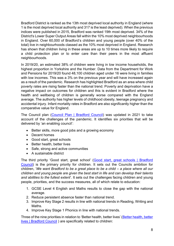Bradford District is ranked as the 13th most deprived local authority in England (where 1 is the most deprived local authority and 317 is the least deprived). When the previous indices were published in 2015, Bradford was ranked 19th most deprived. 34% of the District's Lower Super Output Areas fall within the 10% most deprived neighbourhoods in England. Over 60,000 of Bradford's children and young people (over 40% of the total) live in neighbourhoods classed as the 10% most deprived in England. Research has shown that children living in these areas are up to 10 times more likely to require a child protection plan or to enter care than their peers in the most affluent neighbourhoods.

In 2019/20, an estimated 38% of children were living in low income households, the highest proportion in Yorkshire and the Humber. Data from the Department for Work and Pensions for 2019/20 found 48,100 children aged under 16 were living in families with low incomes. This was a 3% on the previous year and will have increased again as a result of the pandemic. Research has highlighted Bradford as an area where child poverty rates are rising faster than the national trend. Poverty and deprivation have a negative impact on outcomes for children and this is evident in Bradford where the health and wellbeing of children is generally worse compared with the England average. The authority has higher levels of childhood obesity, teenage pregnancy and accidental injury. Infant mortality rates in Bradford are also significantly higher than the comparative value for England.

The Council plan [\(Council Plan | Bradford Council\)](https://www.bradford.gov.uk/councilplan) was updated in 2021 to take account of the challenges of the pandemic. It identifies six priorities that will be delivered by 'an enabling council':

- Better skills, more good jobs and a growing economy
- Decent homes
- Good start, great schools
- Better health, better lives
- Safe, strong and active communities
- A sustainable district

The third priority 'Good start, great school' [\(Good start, great schools | Bradford](https://www.bradford.gov.uk/council-plan/our-priorities/good-start-great-schools/)  [Council\)](https://www.bradford.gov.uk/council-plan/our-priorities/good-start-great-schools/) is the primary priority for children. It sets out the Councils ambition for children, '*We want Bradford to be a great place to be a child – a place where all our children and young people are given the best start in life and can develop their talents and abilities to the fullest extent*'. It sets out the challenges facing children and young people, priorities, and the success measures, all of which relate to education:

- 1. GCSE Level 4 English and Maths results to close the gap with the national average.
- 2. Reduce persistent absence faster than national trend.
- 3. Improve Key Stage 2 results in line with national trends in Reading, Writing and Maths.
- 4. Improve Key Stage 1 Phonics in line with national trends.

Three of the nine priorities in relation to 'Better health, better lives' [\(Better health, better](https://www.bradford.gov.uk/council-plan/our-priorities/better-health-better-lives/)  [lives | Bradford Council](https://www.bradford.gov.uk/council-plan/our-priorities/better-health-better-lives/) ) are specifically related to children: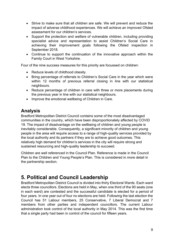- Strive to make sure that all children are safe. We will prevent and reduce the impact of adverse childhood experiences. We will achieve an improved Ofsted assessment for our children's services.
- Support the protection and welfare of vulnerable children, including providing specialist advice and representation to assist Children's Social Care in achieving their improvement goals following the Ofsted inspection in September 2018.
- Continue to support the continuation of the innovative approach within the Family Court in West Yorkshire.

Four of the nine success measures for this priority are focussed on children:

- Reduce levels of childhood obesity.
- Bring percentage of referrals to Children's Social Care in the year which were within 12 months of previous referral closing in line with our statistical neighbours.
- Reduce percentage of children in care with three or more placements during the previous year in line with our statistical neighbours.
- Improve the emotional wellbeing of Children in Care.

## **Analysis**

Bradford Metropolitan District Council contains some of the most disadvantaged communities in the country, which have been disproportionately affected by COVID 19. The impact of disadvantage on the wellbeing of children and young people is inevitably considerable. Consequently, a significant minority of children and young people in the area will require access to a range of high-quality services provided by the local authority and its partners if they are to achieve good outcomes. This relatively high demand for children's services in the city will require strong and sustained resourcing and high-quality leadership to succeed.

Children are well referenced in the Council Plan. Reference is made in the Council Plan to the Children and Young People's Plan. This is considered in more detail in the partnership section.

# <span id="page-8-0"></span>**5. Political and Council Leadership**

Bradford Metropolitan District Council is divided into thirty Electoral Wards. Each ward elects three councillors. Elections are held in May, when one third of the 90 seats (one in each ward) are contested and the successful candidate is elected for a period of four years. In one year out of four no elections are held. Following the last election the Council has 51 Labour members, 25 Conservative, 7 Liberal Democrat and 7 members from other parties and independent councillors. The current Labour administration took control of the local authority in May 2014. This was the first time that a single party had been in control of the council for fifteen years.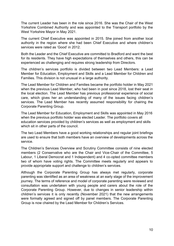The current Leader has been in the role since 2016. She was the Chair of the West Yorkshire Combined Authority and was appointed to the Transport portfolio by the West Yorkshire Mayor in May 2021.

The current Chief Executive was appointed in 2015. She joined from another local authority in the region where she had been Chief Executive and where children's services were rated as 'Good' in 2012.

Both the Leader and the Chief Executive are committed to Bradford and want the best for its residents. They have high expectations of themselves and others, this can be experienced as challenging and requires strong leadership from Directors.

The children's services portfolio is divided between two Lead Members: a Lead Member for Education, Employment and Skills and a Lead Member for Children and Families. This division is not unusual in a large authority.

The Lead Member for Children and Families became the portfolio holder in May 2021 when the previous Lead Member, who had been in post since 2018, lost their seat in the local election. The Lead Member has previous professional experience of social care, which gives her an understanding of many of the issues facing children's services. The Lead Member has recently assumed responsibility for chairing the Corporate Parenting Group.

The Lead Member for Education, Employment and Skills was appointed in May 2016 when the previous portfolio holder was elected Leader. The portfolio covers all education services provided by children's services as well as employment and skills which sit in other parts of the council.

The two Lead Members have a good working relationships and regular joint briefings are used to ensure that both members have an overview of developments across the service.

The Children's Services Overview and Scrutiny Committee consists of nine elected members (2 Conservative who are the Chair and Vice-Chair of the Committee, 5 Labour, 1 Liberal Democrat and 1 Independent) and 4 co-opted committee members two of whom have voting rights. The Committee meets regularly and appears to provide appropriate support and challenge to children's services.

Although the Corporate Parenting Group has always met regularly, corporate parenting was identified as an area of weakness at an early stage of the improvement journey. The terms of reference and model of corporate parenting were reviewed and consultation was undertaken with young people and carers about the role of the Corporate Parenting Group. However, due to changes in senior leadership within children's services it is only recently (November 2021) that the new arrangements were formally agreed and signed off by panel members. The Corporate Parenting Group is now chaired by the Lead Member for Children's Services.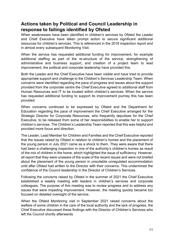## **Actions taken by Political and Council Leadership in response to failings identified by Ofsted**

When weaknesses have been identified in children's services by Ofsted the Leader and Chief Executive have taken prompt action to secure significant additional resources for children's services. This is referenced in the 2018 inspection report and in almost every subsequent Monitoring Visit.

When the service has requested additional funding for improvement, for example additional staffing as part of the re-structure of the service, strengthening of administrative and business support, and creation of a project team to lead improvement, the political and corporate leadership have provided this.

Both the Leader and the Chief Executive have been visible and have tried to provide appropriate support and challenge to the Children's Services Leadership Team. When concerns were identified regarding the pace of progress and issues about the support provided from the corporate centre the Chief Executive agreed to additional staff from Human Resources and IT to be located within children's services. When the service has requested additional funding to support its improvement journey this has been provided.

When concerns continued to be expressed by Ofsted and the Department for Education regarding the pace of improvement the Chief Executive arranged for the Strategic Director for Corporate Resources, who frequently deputises for the Chief Executive, to be released from some of her responsibilities to enable her to support children's services. The Children's Leadership Team reported that this was helpful and provided more focus and direction.

The Leader, Lead Member for Children and Families and the Chief Executive reported that the issues raised by Ofsted in relation to children's homes and the placement of the young person in July 2021 came as a shock to them. They were aware that there had been a challenging inspection in one of the authority's children's homes as result of the mix of children in the home, which highlighted the issue of sufficiency. However, all report that they were unaware of the scale of the recent issues and were not briefed about the placement of the young person in unsuitable unregulated accommodation until after Ofsted had written to the Director with their concerns. This undermined the confidence of the Council leadership in the Director of Children's Services.

Following the concerns raised by Ofsted in the summer of 2021 the Chief Executive established a weekly meeting with leaders in children's services and corporate colleagues. The purpose of this meeting was to review progress and to address any issues that were impeding improvement. However, the meeting quickly became too focused on detailed oversight of the service.

When the Ofsted Monitoring visit in September 2021 raised concerns about the welfare of some children in the care of the local authority and the lack of progress, the Chief Executive discussed these findings with the Director of Children's Services who left the Council shortly afterwards.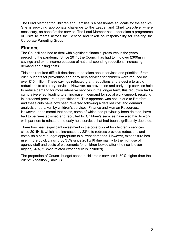The Lead Member for Children and Families is a passionate advocate for the service. She is providing appropriate challenge to the Leader and Chief Executive, where necessary, on behalf of the service. The Lead Member has undertaken a programme of visits to teams across the Service and taken on responsibility for chairing the Corporate Parenting Group.

## **Finance**

The Council has had to deal with significant financial pressures in the years preceding the pandemic. Since 2011, the Council has had to find over £300m in savings and extra income because of national spending reductions, increasing demand and rising costs.

This has required difficult decisions to be taken about services and priorities. From 2011 budgets for prevention and early help services for children were reduced by over £15 million. These savings reflected grant reductions and a desire to avoid reductions to statutory services. However, as prevention and early help services help to reduce demand for more intensive services in the longer term, this reduction had a cumulative effect leading to an increase in demand for social work support, resulting in increased pressure on practitioners. This approach was not unique to Bradford and these cuts have now been reversed following a detailed cost and demand analysis undertaken by children's services, Finance and Human Resources. However, it has meant that posts, some of which had previously been deleted, have had to be re-established and recruited to. Children's services have also had to work with partners to reinstate the early help services that had been significantly depleted.

There has been significant investment in the core budget for children's services since 2015/16, which has increased by 23%, to redress previous reductions and establish a core budget appropriate to current demands. However, expenditure has risen more quickly, rising by 35% since 2015/16 due mainly to the high use of agency staff and costs of placements for children looked after (the rise is even higher, 54%, if Covid related expenditure is included).

The proportion of Council budget spent in children's services is 50% higher than the 2015/16 position (Table 1).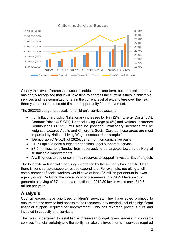

Clearly this level of increase is unsustainable in the long term, but the local authority has rightly recognised that it will take time to address the current issues in children's services and has committed to retain the current level of expenditure over the next three years in order to create time and opportunity for improvement.

The 2022/23 budget proposals for children's services assume:

- Full Inflationary uplift: "Inflationary increases for Pay (2%), Energy Costs (5%), Contract Prices (4% CPI), National Living Wage (6.6%) and National Insurance Contributions (1.25%), will also be provided. Inflationary increases will be weighted towards Adults and Children's Social Care as these areas are most impacted by National Living Wage increases for example."
- 'Demographic' Growth of £625k per annum, on cumulative basis
- £125k uplift to base budget for additional legal support to service
- £7.5m investment (funded from reserves), to be targeted towards delivery of sustainable improvements
- A willingness to use uncommitted reserves to support "Invest to Save" projects

The longer-term financial modelling undertaken by the authority has identified that there is considerable scope to reduce expenditure. For example, recruiting a full establishment of social workers would save at least £5 million per annum in lower agency costs. Reducing the overall cost of placements to 2020/21 levels would generate a saving of £7.1m and a reduction to 2019/20 levels would save £12.3 million per year.

## **Analysis**

Council leaders have prioritised children's services. They have acted promptly to ensure that the service had access to the resources they needed, including significant financial support, required for improvement. This has reversed previous cuts and invested in capacity and services.

The work undertaken to establish a three-year budget gives leaders in children's services financial certainty and the ability to make the investments in services required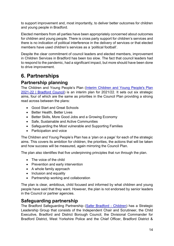to support improvement and, most importantly, to deliver better outcomes for children and young people in Bradford.

Elected members from all parties have been appropriately concerned about outcomes for children and young people. There is cross party support for children's services and there is no indication of political interference in the delivery of services or that elected members have used children's services as a 'political football'.

Despite the clear commitment of council leaders and elected members, improvement in Children Services in Bradford has been too slow. The fact that council leaders had to respond to the pandemic, had a significant impact, but more should have been done to drive improvement.

# <span id="page-13-0"></span>**6. Partnerships**

# **Partnership planning**

The Children and Young People's Plan [\(Interim Children and Young People's Plan](https://www.bradford.gov.uk/children-young-people-and-families/reports-policies-projects-and-strategies/interim-children-and-young-peoples-plan-2021-22/)  [2021-22 | Bradford Council\)](https://www.bradford.gov.uk/children-young-people-and-families/reports-policies-projects-and-strategies/interim-children-and-young-peoples-plan-2021-22/) is an interim plan for 2021/22. It sets out six strategic aims, four of which are the same as priorities in the Council Plan providing a strong read across between the plans:

- Good Start and Great Schools
- Better Health, Better Lives
- Better Skills, More Good Jobs and a Growing Economy
- Safe, Sustainable and Active Communities
- Safeguarding the Most vulnerable and Supporting Families
- Participation and voice

The Children and Young People's Plan has a 'plan on a page' for each of the strategic aims. This covers its ambition for children, the priorities, the actions that will be taken and how success will be measured, again mirroring the Council Plan.

The plan also identifies that five underpinning principles that run through the plan.

- The voice of the child
- Prevention and early intervention
- A whole family approach
- Inclusion and equality
- Partnership working and collaboration

The plan is clear, ambitious, child focused and informed by what children and young people have said that they want. However, the plan is not endorsed by senior leaders in the Council or partner agencies.

# **Safeguarding partnership**

The Bradford Safeguarding Partnership [\(Safer Bradford -](https://www.saferbradford.co.uk/children/) Children) has a Strategic Leadership Group that consists of the Independent Chair and Scrutineer, the Child Executive, Bradford and District Borough Council, the Divisional Commander for Bradford District, West Yorkshire Police and the Chief Officer, Bradford District &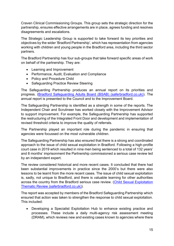Craven Clinical Commissioning Groups. This group sets the strategic direction for the partnership, ensures effective arrangements are in place, agrees funding and resolves disagreements and escalations.

The Strategic Leadership Group is supported to take forward its key priorities and objectives by the wider 'Bradford Partnership', which has representation from agencies working with children and young people in the Bradford area, including the third sector partners.

The Bradford Partnership has four sub-groups that take forward specific areas of work on behalf of the partnership. They are:

- Learning and Improvement
- Performance, Audit, Evaluation and Compliance
- Policy and Procedure Child
- Safeguarding Practice Review Steering

The Safeguarding Partnership produces an annual report on its priorities and progress. [\(Bradford Safeguarding Adults Board \(BSAB\) \(saferbradford.co.uk\)\)](https://www.saferbradford.co.uk/media/hcbbbu4k/tbp-annual-report-2020-21-pdf.pdf). The annual report is presented to the Council and to the Improvement Board.

The Safeguarding Partnership is identified as a strength in some of the reports. The Independent Chair and Scrutineer has worked closely with the Improvement Advisor to support improvement. For example, the Safeguarding Partnership has supported the restructuring of the Integrated Front Door and development and implementation of revised threshold criteria to improve the quality of referrals.

The Partnership played an important role during the pandemic in ensuring that agencies were focussed on the most vulnerable children.

The Safeguarding Partnership has also ensured that there is a strong and coordinated approach to the issue of child sexual exploitation in Bradford. Following a high-profile court case in 2019 which resulted in nine men being sentenced to a total of 132 years' and 8 months' imprisonment the Partnership commissioned a serious case review led by an independent expert.

The review considered historical and more recent cases. It concluded that there had been substantial improvements in practice since the 2000's but there were also lessons to be learnt from the more recent cases. The issue of child sexual exploitation is, sadly, not unique to Bradford, and there is valuable learning for other authorities across the country from the Bradford serious case review. [\(Child Sexual Exploitation](https://saferbradford.co.uk/media/fphljk3i/scr-cse-thematic-v7.pdf)  [Thematic Review \(saferbradford.co.uk\)\)](https://saferbradford.co.uk/media/fphljk3i/scr-cse-thematic-v7.pdf).

The report was accepted by members of the Bradford Safeguarding Partnership which ensured that action was taken to strengthen the response to child sexual exploitation. This included:

• Developing a Specialist Exploitation Hub to enhance existing practice and processes. These include a daily multi-agency risk assessment meeting (DRAM), which reviews new and existing cases known to agencies where there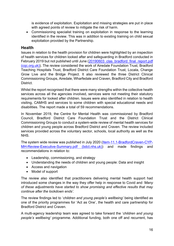is evidence of exploitation. Exploitation and missing strategies are put in place with agreed points of review to mitigate the risk of harm.

• Commissioning specialist training on exploitation in response to the learning identified in the review. This was in addition to existing training on child sexual exploitation provided by the Partnership.

#### **Health**

Issues in relation to the health provision for children were highlighted by an inspection of health services for children looked after and safeguarding in Bradford conducted in February 2019 but not published until June (20190603 clas bradford final report.pdf [\(cqc.org.uk\)\)](https://www.cqc.org.uk/sites/default/files/20190603_clas_bradford_final_report.pdf). The review considered the work of Airedale Foundation Trust, Bradford Teaching Hospitals Trust, Bradford District Care Foundation Trust, Locala, Change Grow Live and the Bridge Project. It also reviewed the three District Clinical Commissioning Groups, Airedale, Wharfedale and Craven, Bradford City and Bradford **District** 

Whilst the report recognised that there were many strengths within the collective health services across all the agencies involved, services were not meeting their statutory requirements for looked after children. Issues were also identified in relation to health visiting, CAMHS and services to some children with special educational needs and disabilities. The report made a total of 59 recommendations.

In November 2019, the Centre for Mental Health was commissioned by Bradford Council, Bradford District Care Foundation Trust and the District Clinical Commissioning Groups to conduct a system-wide review of mental health services for children and young people across Bradford District and Craven. The review included services provided across the voluntary sector, schools, local authority as well as the NHS.

The system wide review was published in July 2020 [\(Item-11.1-BradfordCraven-CYP-](https://www.bdct.nhs.uk/wp-content/uploads/2020/09/Item-11.1-BradfordCraven-CYP-MH-Review-Executive-Summary.pdf)[MH-Review-Executive-Summary.pdf \(bdct.nhs.uk\)\)](https://www.bdct.nhs.uk/wp-content/uploads/2020/09/Item-11.1-BradfordCraven-CYP-MH-Review-Executive-Summary.pdf) and made findings and recommendations in relation to:

- Leadership, commissioning, and strategy
- Understanding the needs of children and young people: Data and insight
- Access and navigation
- Model of support

The review also identified that practitioners delivering mental health support had introduced some changes in the way they offer help in response to Covid and *'Many of these adjustments have started to show promising and effective results that may continue after the lockdown ends'.*

The review findings led to '*children and young people's wellbeing'* being identified as one of the priority programmes for 'Act as One', the health and care partnership for Bradford District and Craven.

A multi-agency leadership team was agreed to take forward the '*children and young people's wellbeing'* programme. Additional funding, both one off and recurrent, has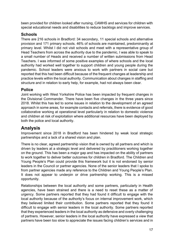been provided for children looked after nursing, CAMHS and services for children with special educational needs and disabilities to reduce backlogs and improve services.

#### **Schools**

There are 216 schools in Bradford: 34 secondary, 11 special schools and alternative provision and 171 primary schools. 46% of schools are maintained, predominantly at primary level. Whilst I did not visit schools and meet with a representative group of Head Teachers from across the authority due to the pandemic, I was able to speak to a small number of Heads and received a number of written submissions from Head Teachers. I was informed of some positive examples of where schools and the local authority had worked well together to support children and young people during the pandemic. School leaders were anxious to work with partners in social care but reported that this had been difficult because of the frequent changes at leadership and practice levels within the local authority. Communication about changes in staffing and structure and in relation to early help, for example, had not always been clear.

#### **Police**

Joint working with West Yorkshire Police has been impacted by frequent changes in the Divisional Commander. There have been five changes in the three years since 2018. Whilst this has led to some issues in relation to the development of an agreed approach in some areas, for example contacts and referrals, there is evidence of good collaborative working at operational level particularly in relation to domestic violence and children at risk of exploitation where additional resources have been deployed by both the police and local authority.

## **Analysis**

Improvement since 2018 in Bradford has been hindered by weak local strategic partnerships and a lack of a shared vision and plan.

There is no clear, agreed partnership vision that is owned by all partners and which is driven by leaders at a strategic level and delivered by practitioners working together on the ground. This has been a major gap and has impacted on the ability of partners to work together to deliver better outcomes for children in Bradford. The Children and Young People's Plan could provide this framework but it is not endorsed by senior leaders in the Council or partner agencies. None of the senior leaders that I spoke to from partner agencies made any reference to the Children and Young People's Plan. It does not appear to underpin or drive partnership working. This is a missed opportunity.

Relationships between the local authority and some partners, particularly in Health agencies, have been strained and there is a need to reset these as a matter of urgency. Some partners reported that they had found it difficult to engage with the local authority because of the authority's focus on internal improvement work, which they believed limited their contribution. Some partners reported that they found it difficult to engage with senior leaders in the local authority. Some partners reported that they experienced leaders in the local authority as defensive and overly challenging of partners. However, senior leaders in the local authority have expressed a view that partners have been too slow to appreciate the issues facing children's services and in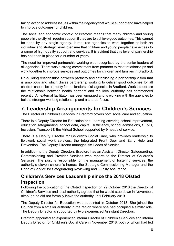taking action to address issues within their agency that would support and have helped to improve outcomes for children.

The social and economic context of Bradford means that many children and young people in the city will require support if they are to achieve good outcomes. This cannot be done by any single agency. It requires agencies to work together at both an individual and strategic level to ensure that children and young people have access to a range of high-quality support and services. It is evident that this level of partnership has not been in place for a number of years.

The need for improved partnership working was recognised by the senior leaders of all agencies. There was a strong commitment from partners to reset relationships and work together to improve services and outcomes for children and families in Bradford.

Re-building relationships between partners and establishing a partnership vision that is ambitious and which drives partnership working to deliver good outcomes for all children should be a priority for the leaders of all agencies in Bradford. Work to address the relationship between health partners and the local authority has commenced recently. An external facilitator has been engaged and is working with the agencies to build a stronger working relationship and a shared focus.

# <span id="page-17-0"></span>**7. Leadership Arrangements for Children's Services**

The Director of Children's Services in Bradford covers both social care and education.

There is a Deputy Director for Education and Learning covering school improvement, education safeguarding, school data, capital, sufficiency, school admissions, SEND, Inclusion, Transport & the Virtual School supported by 9 heads of service.

There is a Deputy Director for Children's Social Care, who provides leadership to fieldwork social work services, the Integrated Front Door and Early Help and Prevention. The Deputy Director manages six Heads of Service.

In addition to the Deputy Directors Bradford has an Assistant Director Safeguarding, Commissioning and Provider Services who reports to the Director of Children's Services. The post is responsible for the management of fostering services, the authority's eleven children's homes, the Strategic Commissioning Manager and the Head of Service for Safeguarding Reviewing and Quality Assurance.

# **Children's Services Leadership since the 2018 Ofsted inspection**

Following the publication of the Ofsted inspection on 29 October 2018 the Director of Children's Services and local authority agreed that he would step down in November, although he did not formally leave the authority until February 2019.

The Deputy Director for Education was appointed in October 2018. She joined the Council from a smaller authority in the region where she had occupied a similar role. The Deputy Director is supported by two experienced Assistant Directors.

Bradford appointed an experienced interim Director of Children's Services and interim Deputy Director for Children's Social Care in November 2018, both of whom had led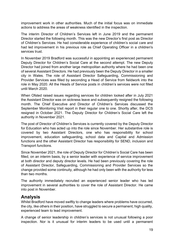improvement work in other authorities. Much of the initial focus was on immediate actions to address the areas of weakness identified in the inspection.

The interim Director of Children's Services left in June 2019 and the permanent Director started the following month. This was the new Director's first post as Director of Children's Services. He had considerable experience of children's social care and had led improvement in his previous role as Chief Operating Officer in a children's services trust.

In November 2019 Bradford was successful in appointing an experienced permanent Deputy Director for Children's Social Care at the second attempt. The new Deputy Director had joined from another large metropolitan authority where he had been one of several Assistant Directors. He had previously been the Deputy Director in a smaller city in Wales. The role of Assistant Director Safeguarding, Commissioning and Provider Services was filled by seconding a Head of Service from fieldwork into the role in May 2020. All the Heads of Service posts in children's services were not filled until March 2020.

When Ofsted raised issues regarding services for children looked after in July 2021 the Assistant Director was on sickness leave and subsequently resigned the following month. The Chief Executive and Director of Children's Services discussed the September Monitoring Visit report in their regular one to one. Shortly after, the DCS resigned in October 2021. The Deputy Director for Children's Social Care left the authority in November 2021.

The post of Director of Children's Services is currently covered by the Deputy Director for Education who has acted up into the role since November. Her substantive role is covered by two Assistant Directors, one who has responsibility for school improvement, education safeguarding, school data and Capital and Admission functions and the other Assistant Director has responsibility for SEND, inclusion and Transport functions.

Since November 2021, the role of Deputy Director for Children's Social Care has been filled, on an interim basis, by a senior leader with experience of service improvement at both director and deputy director levels. He had been previously covering the role of Assistant Director, Safeguarding, Commissioning and Provider Services so the change provided some continuity, although he had only been with the authority for less than two months.

The authority immediately recruited an experienced senior leader who has led improvement in several authorities to cover the role of Assistant Director. He came into post in November.

## **Analysis**

Whilst Bradford have moved swiftly to change leaders where problems have occurred, the city, like others in their position, have struggled to secure a permanent, high quality, experienced team to lead improvement.

A change of senior leadership in children's services is not unusual following a poor inspection. Nor is it unusual for interim leaders to be used until a permanent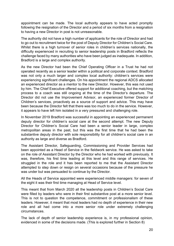appointment can be made. The local authority appears to have acted promptly following the resignation of the Director and a period of six months from a resignation to having a new Director in post is not unreasonable.

The authority did not have a high number of applicants for the role of Director and had to go out to recruitment twice for the post of Deputy Director for Children's Social Care. Whilst there is a high turnover of senior roles in children's services nationally, the difficulty experienced in recruiting to senior leadership posts in Bradford reflects the challenge faced by many authorities who have been judged as inadequate. In addition, Bradford is a large and complex authority.

As the new Director had been the Chief Operating Officer in a Trust he had not operated recently as a senior leader within a political and corporate context. Bradford was not only a much larger and complex local authority: children's services were experiencing significant challenges. On his appointment the regional ADCS allocated an experienced director as a mentor to the new Director. However, this was not used by him. The Chief Executive offered support for additional coaching, but the matching process to a coach was still ongoing at the time of the Director's departure. The Director did not use the Improvement Advisor, an experienced former Director of Children's services, proactively as a source of support and advice. This may have been because the Director felt that there was too much to do in the service. However, it appears to have left him isolated in a very pressured and challenging role.

In November 2019 Bradford was successful in appointing an experienced permanent deputy director for children's social care at the second attempt. The new Deputy Director for Children's Social Care had been a senior leader in large, complex metropolitan areas in the past, but this was the first time that he had been the substantive deputy director with sole responsibility for all children's social care in an authority as large and diverse as Bradford.

The Assistant Director, Safeguarding, Commissioning and Provider Services had been appointed as a Head of Service in the fieldwork service. He was asked to take on the role of Assistant Director by the Director who he had worked with previously. It was, therefore, his first time leading at this level and this range of services. He struggled in the role and it has been reported to me that the Assistant Director attempted to step down or resign on several occasions because of the pressure he was under but was persuaded to continue by the Director.

All the Heads of Service appointed were experienced middle managers: for seven of the eight it was their first time managing at Head of Service level.

This meant that from March 2020 all the leadership posts in Children's Social Care were filled by leaders who were in their first substantive post at a more senior level. This is not to question the competence, commitment or professionalism of these leaders. However, it meant that most leaders had no depth of experience in their new role and all had come into a more senior role under extremely challenging circumstances.

The lack of depth of senior leadership experience is, in my professional opinion, evidenced in some of the decisions made. (This is explored further in Section 8)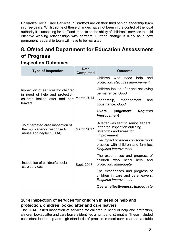Children's Social Care Services in Bradford are on their third senior leadership team in three years. Whilst some of these changes have not been in the control of the local authority it is unsettling for staff and impacts on the ability of children's services to build effective working relationships with partners. Further, change is likely as a new permanent leadership team will have to be recruited.

# <span id="page-20-0"></span>**8. Ofsted and Department for Education Assessment of Progress**

## **Inspection Outcomes**

| <b>Type of Inspection</b>                                                                                                       | <b>Date</b><br><b>Completed</b> | <b>Outcome</b>                                                                                                  |  |  |
|---------------------------------------------------------------------------------------------------------------------------------|---------------------------------|-----------------------------------------------------------------------------------------------------------------|--|--|
|                                                                                                                                 |                                 | Children<br>who<br>help<br>need<br>and<br>protection: Requires Improvement                                      |  |  |
| Inspection of services for children<br>in need of help and protection,<br>children looked after and care March 2014<br>lleavers |                                 | Children looked after and achieving<br>bermanence: <i>Good</i>                                                  |  |  |
|                                                                                                                                 |                                 | Leadership,<br>management<br>and<br>governance: Good                                                            |  |  |
|                                                                                                                                 |                                 | judgement:<br><b>Requires</b><br>Overall<br><b>Improvement</b>                                                  |  |  |
| Joint targeted area inspection of<br>the multi-agency response to<br>abuse and neglect (JTAI)                                   | March 2017                      | A letter was sent to senior leaders<br>after the inspection outlining<br>strengths and areas for<br>improvement |  |  |
|                                                                                                                                 |                                 | The impact of leaders on social work<br>practice with children and families:<br><b>Requires Improvement</b>     |  |  |
| Inspection of children's social<br>care services                                                                                | Sept. 2018                      | The experiences and progress of<br>children<br>who<br>help<br>need<br>and<br>protection: <i>Inadequate</i>      |  |  |
|                                                                                                                                 |                                 | The experiences and progress of<br>children in care and care leavers:<br><b>Requires Improvement</b>            |  |  |
|                                                                                                                                 |                                 | Overall effectiveness: Inadequate                                                                               |  |  |

## **2014 Inspection of services for children in need of help and protection, children looked after and care leavers**

The 2014 Ofsted inspection of services for children in need of help and protection, children looked after and care leavers identified a number of strengths. These included consistent leadership and high standards of practice in most service areas, a stable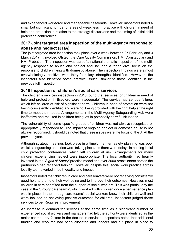and experienced workforce and manageable caseloads. However, inspectors noted a small but significant number of areas of weakness in practice with children in need of help and protection in relation to the strategy discussions and the timing of initial child protection conferences.

#### **2017 Joint targeted area inspection of the multi-agency response to abuse and neglect (JTIA)**

The joint targeted area inspection took place over a week between 27 February and 3 March 2017. It involved Ofsted, the Care Quality Commission, HMI Constabulary and HMI Probation. The inspection was part of a national thematic inspection of the multiagency response to abuse and neglect and included a 'deep dive' focus on the response to children living with domestic abuse. The inspection findings were almost overwhelmingly positive with thirty-four key strengths identified. However, the inspectors also identified some practice issues, similar to those identified in the previous full inspection.

#### **2018 Inspection of children's social care services**

The children's services inspection in 2018 found that services for children in need of help and protection in Bradford were 'Inadequate'. The service had serious failures which left children at risk of significant harm. Children in need of protection were not being consistently identified and were not being provided with the right help at the right time to meet their needs. Arrangements in the Multi-Agency Safeguarding Hub were ineffective and resulted in children being left in potentially harmful situations.

The vulnerability of some specific groups of children was not always recognised or appropriately responded to. The impact of ongoing neglect or domestic abuse is not always recognised. It should be noted that these issues were the focus of the JTAI the previous year.

Although strategy meetings took place in a timely manner, safety planning was poor whilst safeguarding enquiries were taking place and there were delays in holding initial child protection conferences, which left children at risk. Arrangements for many children experiencing neglect were inappropriate. The local authority had heavily invested in the *'Signs of Safety'* practice model and over 2000 practitioners across the partnership had received training. However, despite this, social work practice across locality teams varied in both quality and impact.

Inspectors noted that children in care and care leavers were not receiving consistently good help to promote their well-being and to improve their outcomes. However, most children in care benefited from the support of social workers. This was particularly the case in the 'throughcare teams', which worked with children once a permanence plan was in place. In the 'throughcare teams', social workers knew their children well and were focused on achieving positive outcomes for children. Inspectors judged these services to be 'Requires Improvement'.

An increase in demand for services at the same time as a significant number of experienced social workers and managers had left the authority were identified as the major contributory factors in the decline in services. Inspectors noted that additional funding and resource had been allocated and leaders had put plans in place to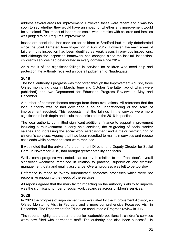address several areas for improvement. However, these were recent and it was too soon to say whether they would have an impact or whether any improvement would be sustained. The impact of leaders on social work practice with children and families was judged to be 'Requires Improvement'

Inspectors concluded that services for children in Bradford had rapidly deteriorated since the Joint Targeted Area Inspection in April 2017. However, the main areas of failure in this inspection had been identified as weaknesses in previous inspections, and although the inspection framework had changed since the last full inspection, children's services had deteriorated in every domain since 2014.

As a result of the significant failings in services for children who need help and protection the authority received an overall judgement of 'Inadequate'.

#### **2019**

The local authority's progress was monitored through the Improvement Advisor, three Ofsted monitoring visits in March, June and October (the latter two of which were published) and two Department for Education Progress Reviews in May and **December** 

A number of common themes emerge from these evaluations. All reference that the local authority was or had developed a sound understanding of the scale of improvement required. This suggests that the failings in the service were more significant in both depth and scale than indicated in the 2018 inspection.

The local authority committed significant additional finance to support improvement including a re-investment in early help services, the re-grading of social worker salaries and increasing the social work establishment and a major restructuring of children's services. Agency staff had been recruited to maintain services and reduce caseloads while permanent staff were recruited.

It was noted that the arrival of the permanent Director and Deputy Director for Social Care, in November 2019, had brought greater stability and focus.

Whilst some progress was noted, particularly in relation to the 'front door', overall significant weakness remained in relation to practice, supervision and frontline management, data and quality assurance. Overall progress was felt to be too slow.

Reference is made to 'overly bureaucratic' corporate processes which were not responsive enough to the needs of the services.

All reports agreed that the main factor impacting on the authority's ability to improve was the significant number of social work vacancies across children's services.

#### **2020**

In 2020 the progress of improvement was evaluated by the Improvement Advisor, an Ofsted Monitoring Visit in February and a more comprehensive Focussed Visit in December. The Department for Education conducted a Progress review in July.

The reports highlighted that all the senior leadership positions in children's services were now filled with permanent staff. The authority had also been successful in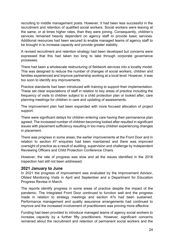recruiting to middle management posts. However, it had been less successful in the recruitment and retention of qualified social workers. Social workers were leaving at the same, or at times higher rates, than they were joining. Consequently, children's services remained heavily dependent on agency staff to provide basic services. Additional resources had been secured to enable managed teams of agency staff to be brought in to increase capacity and provide greater stability.

A revised recruitment and retention strategy had been developed but concerns were expressed that this had taken too long to take through corporate governance processes.

There had been a wholescale restructuring of fieldwork services into a locality model. This was designed to reduce the number of changes of social workers, children and families experienced and improve partnership working at a local level. However, it was too soon to identify any improvements.

Practice standards had been introduced with training to support their implementation. These set clear expectations of staff in relation to key areas of practice including the frequency of visits to children subject to a child protection plan or looked after, care planning meetings for children in care and updating of assessments.

The improvement plan had been expanded with more focused allocation of project support.

There were significant delays for children entering care having their permanence plan agreed. The increased number of children becoming looked after resulted in significant issues with placement sufficiency resulting in too many children experiencing changes in placement.

There was progress in some areas; the earlier improvements at the Front Door and in relation to section 47 enquiries had been maintained and there was improved oversight of practice as a result of auditing, supervision and challenge by Independent Reviewing Officers and Child Protection Conference Chairs.

However, the rate of progress was slow and all the issues identified in the 2018 inspection had still not been addressed.

#### **2021 January to June**

In 2021 the progress of improvement was evaluated by the Improvement Advisor, Ofsted Monitoring Visits in April and September and a Department for Education Progress Review in March.

The reports identify progress in some areas of practice despite the impact of the pandemic. The Integrated Front Door continued to function well and the progress made in relation to strategy meetings and section 47s had been sustained. Performance management and quality assurance arrangements had continued to improve and the increased involvement of practitioners was proving more effective.

Funding had been provided to introduce managed teams of agency social workers to increase capacity by a further fifty practitioners. However, significant concerns remained about the recruitment and retention of permanent social workers and the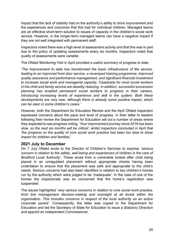impact that the lack of stability had on the authority's ability to drive improvement and the experiences and outcomes that this had for individual children. Managed teams are an effective short-term solution to issues of capacity in the children's social work service. However, in the longer-term managed teams can have a negative impact if they are not well integrated with permanent staff.

Inspectors noted there was a high level of assessment activity and that this was in part due to the policy of updating assessments every six months. Inspectors noted that quality of assessments were variable.

The Ofsted Monitoring Visit in April provided a useful summary of progress to date:

'*The improvement to date has transformed the basic infrastructure of the service, leading to an improved front door service, a revamped training programme, improved quality assurance and performance management, and significant financial investment to increase social work and managerial capacity. Caseloads for most social workers in the child and family service are steadily reducing. In addition, successful succession planning has enabled permanent social workers to progress in their careers, introducing increasing levels of experience and skill in the system. Both these developments are very new, although there is already some positive impact, which can be seen in some children's cases*.'

However, both the Department for Education Review and the April Ofsted inspection expressed concerns about the pace and level of progress. In their letter to leaders following their review the Department for Education set out a number of areas where they expected to see progress noting, *'Your improvement journey since 2018 has been slow, so the next six months will be critical'*, whilst inspectors concluded in April that *'the progress on the quality of core social work practice has been too slow to show impact for children and families*.'

#### **2021 July to December**

On 7 July Ofsted wrote to the Director of Children's Services to express *'serious concern in relation to the safety, well-being and experiences of children in the care of Bradford Local Authority'*. These arose from a vulnerable looked after child being placed in an unregulated placement without appropriate checks having been undertaken to ensure that the placement was safe and appropriate to the child's needs. Serious concerns had also been identified in relation to two children's homes run by the authority which were judged to be 'inadequate'. In the case of one of the homes the inspectorate was so concerned that the home's registration was suspended.

The issues highlighted '*very serious concerns in relation to core social work practice, front line management decision-making and oversight at all levels within the organisation. This includes concerns in respect of the local authority as an active corporate parent'*. Consequently, the letter was copied to the Department for Education and led the Secretary of State for Education to issue a Statutory Direction and appoint an independent Commissioner.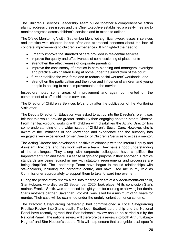The Children's Services Leadership Team pulled together a comprehensive action plan to address these issues and the Chief Executive established a weekly meeting to monitor progress across children's services and to expedite actions.

The Ofsted Monitoring Visit in September identified significant weaknesses in services and practice with children looked after and expressed concerns about the lack of concrete improvements to children's experiences. It highlighted the need to:

- urgently improve the standard of care provided in residential services
- improve the quality and effectiveness of commissioning of placements
- strengthen the effectiveness of corporate parenting
- improve the consistency of practice in care planning and managers' oversight and practice with children living at home under the jurisdiction of the court
- further stabilise the workforce and to reduce social workers' workloads; and
- strengthen the participation and the voice and influence of children and young people in helping to make improvements to the service.

Inspectors noted some areas of improvement and again commented on the commitment of staff in children's services.

The Director of Children's Services left shortly after the publication of the Monitoring Visit letter.

The Deputy Director for Education was asked to act up into the Director's role. It was felt that this would provide greater continuity than engaging another Interim Director. From her background working with children with disabilities the Acting Director has some understanding of the wider issues of Children's Social Care. However, she is aware of the limitations of her knowledge and experience and the authority has engaged a very experienced former Director of Children's Services to act as a mentor.

The Acting Director has developed a positive relationship with the Interim Deputy and Assistant Directors, and they work well as a team. They have a good understanding of the challenges. They along with corporate colleagues have simplified the Improvement Plan and there is a sense of grip and purpose in their approach. Practice standards are being revised in line with statutory requirements and processes are being simplified. The Leadership Team have begun to rebuild relationships with stakeholders, including the corporate centre, and have used me in my role as Commissioner appropriately to support them to take forward improvement.

During the period of my review a trial into the tragic death of a sixteen-month-old child, Star Hobson, who died on 22 September 2020, took place. At its conclusion Star's mother, Frankie Smith, was sentenced to eight years for causing or allowing her death. Star's mother's partner, Savannah Brockhill, was jailed for a minimum of 25 years for murder. Their case will be examined under the unduly lenient sentence scheme.

The Bradford Safeguarding partnership had commissioned a Local Safeguarding Practice Review into Star's death. The local Bradford partnership and the National Panel have recently agreed that Star Hobson's review should be carried out by the National Panel. The national review will therefore be a review into both Arthur Labinjo-Hughes' and Star Hobson's deaths. This will help ensure that alongside local-specific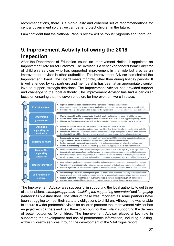recommendations, there is a high-quality and coherent set of recommendations for central government so that we can better protect children in the future.

I am confident that the National Panel's review will be robust, vigorous and thorough.

# <span id="page-26-0"></span>**9. Improvement Activity following the 2018 Inspection**

After the Department of Education issued an Improvement Notice, it appointed an Improvement Advisor for Bradford. The Advisor is a very experienced former director of children's services who has supported improvement in that role but also as an improvement advisor in other authorities. The Improvement Advisor has chaired the Improvement Board. The Board meets monthly, other than during holiday periods. It is well attended by key partners and membership has been at an appropriately senior level to support strategic decisions. The Improvement Advisor has provided support and challenge to the local authority. The Improvement Advisor has had a particular focus on ensuring that the seven enablers for improvement were in place:



The Improvement Advisor was successful in supporting the local authority to get three of the enablers, '*strategic approach', 'building the supporting apparatus'* and *'engaging partners'* fully established. The latter of these was important as some partners have been struggling to meet their statutory obligations to children. Although he was unable to secure a wider partnership vision for children partners the Improvement Advisor has engaged with partners and held them to account for their role in supporting the delivery of better outcomes for children. The Improvement Advisor played a key role in supporting the development and use of performance information, including auditing, within children's services through the development of the Vital Signs report.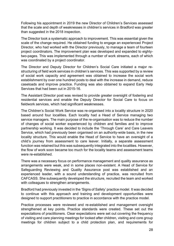Following his appointment in 2019 the new Director of Children's Services assessed that the scale and depth of weaknesses in children's services in Bradford was greater than suggested in the 2018 inspection.

The Director took a systematic approach to improvement. This was essential given the scale of the change required. He obtained funding to engage an experienced Project Director, who had worked with the Director previously, to manage a team of fourteen project coordinators. The improvement plan was developed and expanded to eightytwo-pages. This was implemented through a number of work streams, each of which was coordinated by a project coordinator.

The Director and Deputy Director for Children's Social Care initiated a major restructuring of field work services in children's services. This was supported by a review of social work capacity and agreement was obtained to increase the social work establishment by over one hundred posts to deal with the increase in demand, reduce caseloads and improve practice. Funding was also obtained to expand Early Help Services that had been cut in 2015-16.

The Assistant Director post was revised to provide greater oversight of fostering and residential services and enable the Deputy Director for Social Care to focus on fieldwork services, which had significant weaknesses.

The Children's Social Work Service was re-organised into a locality structure in 2020 based around four localities. Each locality had a Head of Service managing two service managers. The main purpose of the re-organisation was to reduce the number of changes of social worker experienced by children and families and to improve partnership working. It was decided to include the 'Through Care' and Care Leavers Service, which had previously been organised on an authority-wide basis, in the new locality structure. This would enable the Head of Service to have an oversight of a child's journey from assessment to care leaver. Initially, a separate assessment function was retained but this was subsequently integrated into the localities. However, the flow of work soon became too much for the locality teams and assessment teams were re-established.

There was a necessary focus on performance management and quality assurance as arrangements were weak, and in some places non-existent. A Head of Service for Safeguarding Reviewing and Quality Assurance post was established and an experienced leader, with a sound understanding of practice, was recruited from CAFCASS. She subsequently developed the structure, recruited the team and worked with colleagues to strengthen arrangements.

Bradford had previously invested in the 'Signs of Safety' practice model. It was decided to continue with this approach and training and development opportunities were designed to support practitioners to practice in accordance with the practice model.

Practice processes were reviewed and re-established and management oversight strengthened at key points. Practice standards were created. These set out the expectations of practitioners. Clear expectations were set out covering the frequency of visiting and care planning meetings for looked after children, visiting and core group meetings for children subject to a child protection plan, and requirements for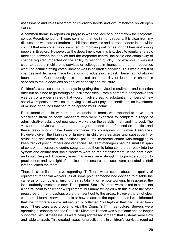assessment and re-assessment of children's needs and circumstances on all open cases.

A common theme in reports on progress was the lack of support from the corporate centre. Recruitment and IT were common themes in many reports. It is clear from my discussions with former leaders in children's services and current leaders in the wider council that everyone was committed to improving outcomes for children and young people in Bradford. However, as the department was in crisis, despite regular strategic meetings between the service and the corporate centre, the scale and complexity of change required impacted on the ability to respond quickly. For example, it was not clear to leaders in children's services or colleagues in finance and human resources what the actual staffing establishment was in children's services. This was a result of changes and decisions made by various individuals in the past. These had not always been shared. Consequently, this impacted on the ability of leaders in children's services to make decisions on service capacity and structure.

Children's services reported delays in getting the revised recruitment and retention offer out as it had to go through council processes. From a corporate perspective this was part of a wider strategy that would involve creating substantial numbers of new social work posts, as well as improving social work pay and conditions, an investment of millions of pounds that had to be agreed by full council.

Recruitment of social workers into vacancies in teams was reported to have put a significant strain on team managers who were expected to complete a range of administrative tasks to get new social workers on the establishment and into post. The view of the service was that team managers needed to be focused on practice and these tasks should have been completed by colleagues in Human Resources. However, given the high rate of turnover in children's services and subsequent restructuring and creation of additional posts, the corporate centre was struggling to keep track of post numbers and vacancies. As team managers had the smallest span of control, the corporate centre sought to use them to bring some order back into the system and ensure that social workers were on the establishment, in the right place and could be paid. However, team managers were struggling to provide support to practitioners and oversight of practice and to ensure that cases were allocated as staff left and joined the team.

There is a similar narrative regarding IT. There were issues about the quality of equipment for social workers, as at some point someone had decided to disable the cameras on computers, limiting their suitability for remote working. In response, the local authority invested in new IT equipment. Social Workers were asked to come into a central point to collect new equipment, but many struggled with this due to the other pressures on them. Laptops were then sent out to the areas. However, it is not clear whether all teams knew about this or how to access the equipment as I was informed that the corporate centre subsequently collected 150 laptops that had never been used. There were also problems with the Council's IT infrastructure. Servers were operating at capacity and the Council's Microsoft licence was out of date and no longer supported. Whilst these issues were being addressed it meant that systems were slow and liable to crash. This created issues for practitioners in children's services, required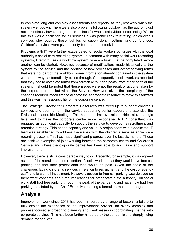to complete long and complex assessments and reports, as they lost work when the system went down. There were also problems following lockdown as the authority did not immediately have arrangements in place for wholescale video conferencing. Whilst this this was a challenge for all services it was particularly frustrating for children's services who required these facilities for supervision, meetings, and conferences. Children's services were given priority but the roll-out took time.

Problems with IT were further exacerbated for social workers by issues with the local authority's social care recording system. In common with many social work recording systems, Bradford uses a workflow system, where a task must be completed before another can be started. However, because of modifications made historically to the system by the service and the addition of new processes and accompanying forms that were not part of the workflow, some information already contained in the system were not always automatically pulled through. Consequently, social workers reported that they had to complete forms from scratch or 'cut and paste' from other parts of the system. It should be noted that these issues were not the result of actions taken by the corporate centre but within the Service. However, given the complexity of the changes required it took time to allocate the appropriate resource to move this forward and this was the responsibility of the corporate centre.

The Strategic Director for Corporate Resources was freed up to support children's services and spent time in the service supporting senior leaders and attended the Divisional Leadership Meetings. This helped to improve relationships at a strategic level and to make the corporate centre more responsive. A HR consultant was engaged as additional capacity to support the service to develop its recruitment and retention strategy. This added capacity and value. A project team with a dedicated IT lead was established to address the issues with the children's services social care recording system. This has made significant progress over the last six months. These are positive examples of joint working between the corporate centre and Children's Service and where the corporate centre has been able to add value and support improvement.

However, there is still a considerable way to go. Recently, for example, it was agreed as part of the recruitment and retention of social workers that they would have free car parking and that their professional fees would be paid. Given the scale of the challenges facing children's services in relation to recruitment and the cost of agency staff, this is a small investment. However, access to free car parking was delayed as there were concerns about the implications for other staff in the authority. All social work staff had free parking through the peak of the pandemic and have now had free parking reinstated by the Chief Executive pending a formal permanent arrangement.

# **Analysis**

Improvement work since 2018 has been hindered by a range of factors: a failure to fully exploit the experience of the Improvement Adviser; an overly complex and process focused approach to planning; and weaknesses in coordinating change with corporate services. This has been further hindered by the pandemic and sharply rising demand for services.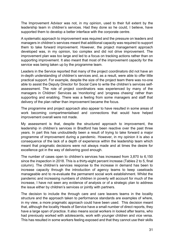The Improvement Advisor was not, in my opinion, used to their full extent by the leadership team in children's services. Had they done so he could, I believe, have supported them to develop a better interface with the corporate centre.

A systematic approach to improvement was required and the pressure on leaders and managers in children's services meant that additional capacity was required to support them to take forward improvement. However, the project management approach developed was, in my opinion, too complex and did not drive improvement. The improvement plan was too large and led to a focus on tracking actions rather than on supporting improvement. It also meant that most of the improvement capacity for the service was being taken up by the programme team.

Leaders in the Service reported that many of the project coordinators did not have an in-depth understanding of children's services and, as a result, were able to offer little practical support. For example, despite the size of the project team there was no-one able to assist the Deputy Director for Social Care to write the children's services selfassessment. The role of project coordinators was experienced by many of the managers in Children' Services as 'monitoring' and 'progress chasing' rather than supporting and enabling. There was a feeling from some managers and staff that delivery of the plan rather than improvement became the focus.

The programme and project approach also appear to have resulted in some areas of work becoming compartmentalised and connections that would have helped improvement overall were not made.

My assessment is that, despite the structured approach to improvement, the leadership in children's services in Bradford has been reactive over the past three years. In part this has undoubtedly been a result of trying to take forward a major programme of improvement during a pandemic. However, in my opinion it is also a consequence of the lack of a depth of experience within the leadership team which meant that pragmatic decisions were not always made and at times the desire for excellence got in the way of delivering good enough.

The number of cases open to children's services has increased from 3,870 to 6,150 since the inspection in 2018. This is a thirty-eight percent increase (Tables 2 to 5, final column). The children's services response to the increase in demand has been to increase capacity through the introduction of agency teams to keep caseloads manageable and to re-evaluate the permanent social work establishment. Whilst the pandemic and increasing numbers of children in poverty will account for much of the increase, I have not seen any evidence of analysis or of a strategic plan to address the issue either by children's services or jointly with partners.

The decision to include the through care and care leavers teams in the locality structure and the approach taken to performance standards are examples of where, in my view, a more pragmatic approach could have been used. This decision meant that, although the locality Heads of Service have a small number of direct reports, they have a large span of practice. It also means social workers in looked after teams, who had previously worked with adolescents, work with younger children and vice versa. This has resulted in some workers feeling exposed and that they cannot use their skills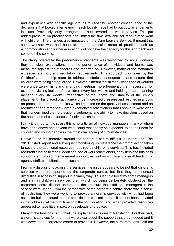and experience with specific age groups to capacity. Another consequence of the decision is that looked after teams in each locality have had to put duty arrangements in place. Previously, duty arrangements had covered the whole service. This put added pressure on practitioners and limited the time available for face-to-face work with children. The changes also impacted on the Care Leavers Service. It meant that some workers who had been experts in particular areas of practice, such as accommodation and further education, did not have the capacity for this approach and some left the service.

The clarity offered by the performance standards was welcomed by social workers; they set clear expectations and the performance of individuals and teams was measured against the standards and reported on. However, many of the standards exceeded statutory and regulatory requirements. This approach was taken by the Children's Leadership team to address historical inadequacies and ensure that children were being safeguarded. However, it meant that in many cases social workers were undertaking visits and arranging meetings more frequently than necessary; for example, visiting looked after children every four weeks and holding a care planning meeting every six weeks, irrespective of the length and stability of the child's placement. This placed practitioners under increased pressure and resulted in a focus on process rather than practice which impacted on the quality of assessment and on recruitment and retention. Some experienced practitioners that I spoke to were clear that it undermined their professional autonomy and ability to make decisions based on the needs and circumstances of individual children.

I think it is important to stress this is no criticism of individual managers, many of whom have gone above and beyond what could reasonably be expected, to do their best for children and young people in the most challenging of circumstances.

I have found the narrative around the corporate centre difficult to understand. The 2018 Ofsted Report and subsequent monitoring visit reference the prompt action taken to secure the additional resources required by children's services. This has included recurrent funding to recruit additional social work practitioners, early help and business support staff, project management support, as well as significant one-off funding for agency staff, consultants and placements.

From my discussions across the services, the issue appears to be not that children's services were unsupported by the corporate centre, but that they experienced difficulties in accessing support in a timely way. This led to a belief by some managers and staff in children's services that, whilst not being deliberately obstructive, the corporate centre did not understand the pressure that staff and managers in the service were under. From the perspective of the corporate centre, there was a sense of frustration; they were working to provide children's services with what had been asked for but then found that the specification was not correct; it had not been provided in the right way, at the right time or in the right location; and, when provided, resources appeared to have little impact on caseloads or practice.

Many of the tensions can, I think, be explained as 'issues of translation'. For their part, children's services felt that they were clear about the support that they needed and it was down to the corporate centre to provide it. However, the corporate centre did not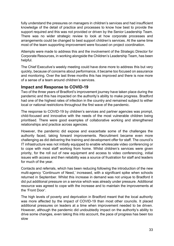fully understand the pressures on managers in children's services and had insufficient knowledge of the detail of practice and processes to know how best to provide the support required and this was not provided or driven by the Senior Leadership Team. There was no wider strategic review to look at how corporate processes and arrangements could be changed to best support children's services. At the same time most of the team supporting improvement were focused on project coordination.

Attempts were made to address this and the involvement of the Strategic Director for Corporate Resources, in working alongside the Children's Leadership Team, has been helpful.

The Chief Executive's weekly meeting could have done more to address this but very quickly, because of concerns about performance, it became too focused on assurance and monitoring. Over the last three months this has improved and there is now more of a sense of a team around children's services.

#### **Impact and Response to COVID-19**

Two of the three years of Bradford's improvement journey have taken place during the pandemic and this has impacted on the authority's ability to make progress. Bradford had one of the highest rates of infection in the country and remained subject to either local or national restrictions throughout the first wave of the pandemic.

The response to COVID-19 by children's services and partner agencies was prompt, child-focused and innovative with the needs of the most vulnerable children being prioritised. There were good examples of collaborative working and strengthened relationships and practice across agencies.

However, the pandemic did expose and exacerbate some of the challenges the authority faced, taking forward improvements. Recruitment became even more challenging as did delivering the training and development offer for staff. The council's IT infrastructure was not initially equipped to enable wholescale video conferencing or to cope with most staff working from home. Whilst children's services were given priority, for the roll out of new equipment and access to video conferencing, initial issues with access and then reliability was a source of frustration for staff and leaders for much of the year.

Contacts and referrals, which has been reducing following the introduction of the new multi-agency 'Continuum of Need,' increased, with a significant spike when schools returned in September. Whilst this increase in demand was not unique to Bradford it did put additional pressure on a service which was already under pressure. Additional resource was agreed to cope with the increase and to maintain the improvements at the 'Front Door'.

The high levels of poverty and deprivation in Bradford meant that the local authority was more affected by the impact of COVID-19 than most other councils. It placed additional pressures on leaders at a time when improvement needed to be driven. However, although the pandemic did undoubtedly impact on the authority's ability to drive some changes, even taking this into account, the pace of progress has been too slow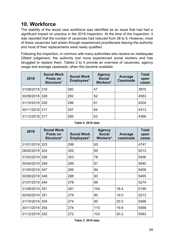# <span id="page-33-0"></span>**10. Workforce**

The stability of the social care workforce was identified as an issue that had had a significant impact on practice in the 2018 inspection. At the time of the inspection, it was reported that the number of vacancies had reduced from 38 to 5. However, most of these vacancies had arisen through experienced practitioners leaving the authority and most of their replacements were newly qualified.

Following the inspection, in common with many authorities who receive an inadequate Ofsted judgement, the authority lost more experienced social workers and has struggled to replace them. Tables 2 to 5 provide an overview of vacancies, agency usage and average caseloads, when this became available

| 2018           | <b>Social Work</b><br>Posts on<br>Structure* | <b>Social Work</b><br>Employees* | <b>Agency</b><br><b>Social</b><br>Workers* | Average<br><b>Caseloads</b> | <b>Total</b><br>open<br>cases |
|----------------|----------------------------------------------|----------------------------------|--------------------------------------------|-----------------------------|-------------------------------|
| 31/08/2018 318 |                                              | 280                              | 47                                         |                             | 3870                          |
| 30/09/2018 328 |                                              | 292                              | 52                                         |                             | 4063                          |
| 31/10/2018 330 |                                              | 296                              | 61                                         |                             | 4204                          |
| 30/11/2018 317 |                                              | 297                              | 64                                         |                             | 4313                          |
| 31/12/2018 317 |                                              | 295                              | 63                                         |                             | 4366                          |

**Table 2: 2018 data**

| 2019       | <b>Social Work</b><br>Posts on<br>Structure* | <b>Social Work</b><br>Employees* | <b>Agency</b><br><b>Social</b><br>Workers* | Average<br>caseloads | <b>Total</b><br>open<br>cases |
|------------|----------------------------------------------|----------------------------------|--------------------------------------------|----------------------|-------------------------------|
| 31/01/2019 | 323                                          | 299                              | 65                                         |                      | 4747                          |
| 28/02/2019 | 324                                          | 302                              | 69                                         |                      | 5013                          |
| 31/03/2019 | 326                                          | 303                              | 78                                         |                      | 5456                          |
| 30/04/2019 | 349                                          | 299                              | 81                                         |                      | 5640                          |
| 31/05/2019 | 347                                          | 295                              | 84                                         |                      | 5409                          |
| 30/06/2019 | 348                                          | 288                              | 93                                         |                      | 5465                          |
| 31/07/2019 | 344                                          | 278                              | 86                                         |                      | 5274                          |
| 31/08/2019 | 351                                          | 281                              | 104                                        | 18.4                 | 5199                          |
| 30/09/2019 | 351                                          | 279                              | 90                                         | 19.0                 | 5213                          |
| 31/10/2019 | 354                                          | 274                              | 90                                         | 20.0                 | 5466                          |
| 30/11/2019 | 354                                          | 274                              | 110                                        | 19.8                 | 5588                          |
| 31/12/2019 | 352                                          | 272                              | 103                                        | 20.2                 | 5583                          |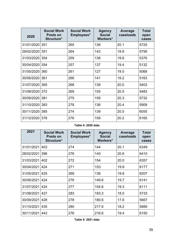| 2020           | <b>Social Work</b><br>Posts on<br>Structure* | <b>Social Work</b><br>Employees* | <b>Agency</b><br><b>Social</b><br>Workers* | Average<br>caseloads | <b>Total</b><br>open<br>cases |
|----------------|----------------------------------------------|----------------------------------|--------------------------------------------|----------------------|-------------------------------|
| 31/01/2020 351 |                                              | 265                              | 136                                        | 20.1                 | 5725                          |
| 29/02/2020     | 351                                          | 264                              | 143                                        | 19.9                 | 5756                          |
| 31/03/2020     | 354                                          | 259                              | 138                                        | 19.8                 | 5376                          |
| 30/04/2020 354 |                                              | 257                              | 137                                        | 19.4                 | 5132                          |
| 31/05/2020     | 360                                          | 261                              | 127                                        | 19.0                 | 5068                          |
| 30/06/2020     | 361                                          | 266                              | 141                                        | 19.2                 | 5163                          |
| 31/07/2020     | 365                                          | 268                              | 139                                        | 20.0                 | 5403                          |
| 31/08/2020 372 |                                              | 269                              | 155                                        | 20.5                 | 5483                          |
| 30/09/2020     | 381                                          | 275                              | 159                                        | 20.3                 | 5732                          |
| 31/10/2020     | 383                                          | 278                              | 136                                        | 20.4                 | 5909                          |
| 30/11/2020 385 |                                              | 274                              | 139                                        | 20.0                 | 6055                          |
| 31/12/2020     | 376                                          | 276                              | 159                                        | 20.2                 | 6165                          |

#### **Table 4: 2020 data**

| 2021       | <b>Social Work</b><br>Posts on<br>Structure* | <b>Social Work</b><br>Employees* | <b>Agency</b><br><b>Social</b><br>Workers* | Average<br>caseloads | <b>Total</b><br>open<br>cases |
|------------|----------------------------------------------|----------------------------------|--------------------------------------------|----------------------|-------------------------------|
| 31/01/2021 | 403                                          | 274                              | 144                                        | 20.1                 | 6349                          |
| 28/02/2021 | 396                                          | 276                              | 140                                        | 20.6                 | 6410                          |
| 31/03/2021 | 402                                          | 272                              | 154                                        | 20.0                 | 6357                          |
| 30/04/2021 | 424                                          | 271                              | 153                                        | 19.9                 | 6177                          |
| 31/05/2021 | 425                                          | 269                              | 136                                        | 19.8                 | 6207                          |
| 30/06/2021 | 424                                          | 276                              | 149.6                                      | 19.7                 | 6141                          |
| 31/07/2021 | 424                                          | 277                              | 154.6                                      | 19.3                 | 6111                          |
| 31/08/2021 | 427                                          | 283                              | 183.3                                      | 18.5                 | 5733                          |
| 30/09/2021 | 428                                          | 278                              | 180.6                                      | 17.6                 | 5667                          |
| 31/10/2021 | 435                                          | 280                              | 217.6                                      | 18.2                 | 5885                          |
| 30/11/2021 | 443                                          | 276                              | 216.6                                      | 19.4                 | 6150                          |

**Table 5: 2021 data**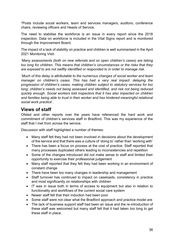\*Posts include social workers, team and services managers, auditors, conference chairs, reviewing officers and Heads of Service.

The need to stabilise the workforce is an issue in every report since the 2018 inspection. Data on workforce is included in the Vital Signs report and is monitored through the Improvement Board.

The impact of a lack of stability on practice and children is well summarised in the April 2021 Monitoring Visit:

*'Many assessments (both on new referrals and on open children's cases) are taking too long for children. This means that children's circumstances or the risks that they are exposed to are not swiftly identified or responded to in order to manage risk.*

'*Much of this delay is attributable to the numerous changes of social worker and team manager on children's cases. This has had a very real impact: delaying the progression of children's cases; making children subject to statutory services for too long; children's needs not being assessed and identified, and risk not being reduced quickly enough. Social workers told inspectors that it has also impacted on children and families being able to trust in their worker and has hindered meaningful relational social work practice*'.

## **Views of staff**

Ofsted and other reports over the years have referenced the hard work and commitment of children's services staff in Bradford. This was my experience of the staff that I met from across the service.

Discussion with staff highlighted a number of themes:

- Many staff felt they had not been involved in decisions about the development of the service and that there was a culture of 'doing to' rather than 'working with'
- There has been a focus on process at the cost of practice. Staff reported that many processes duplicated others leading to inconsistencies and repetition
- Some of the changes introduced did not make sense to staff and limited their opportunity to exercise their professional judgement
- Many staff reported that they felt they had been working in an environment of constant change
- There have been too many changes in leadership and management
- Staff turnover has continued to impact on caseloads, consistency in practice and most significantly on relationships with children
- IT was in issue both in terms of access to equipment but also in relation to functionality and workflows of the current social care system
- Newer staff felt that their induction had been poor
- Some staff were not clear what the Bradford approach and practice model are
- The lack of business support staff had been an issue and the re-introduction of these staff was welcomed but many staff felt that it had taken too long to get these staff in place.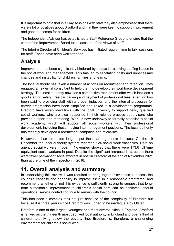It is important to note that in all my sessions with staff they also emphasised that there were a lot of positives about Bradford and that they were keen to support improvement and good outcomes for children.

The Independent Advisor has established a Staff Reference Group to ensure that the work of the Improvement Board takes account of the views of staff.

The Interim Director of Children's Services has initiated regular 'time to talk' sessions for staff. These have been well attended.

# **Analysis**

Improvement has been significantly hindered by delays in resolving staffing issues in the social work and management. This has led to escalating costs and unnecessary changes and instability for children, families and teams.

The local authority has taken a number of actions on recruitment and retention. They engaged an external consultant to help them to develop their workforce development strategy. The local authority now has a competitive recruitment offer which includes a good starting salary, free car parking and payment of professional fees. Attention has been paid to providing staff with a proper induction and the internal processes for career progression have been simplified and linked to a development programme. Bradford have established links with the local university to support newly qualified social workers, who are also supported in their role by practice supervisors who provide support and mentoring. Work is now underway to formally establish a social work academy which will support all social workers with their professional development, including those moving into management positions. The local authority has recently developed a recruitment campaign and micro-site.

However, it has taken too long to put these arrangements in place. On the 19 December the local authority system recorded 124 social work vacancies. Data on agency social workers in post in November showed that there were 173.6 full time equivalent social workers in post. Despite the significant increase in structure there were fewer permanent social workers in post in Bradford at the end of November 2021 than at the time of the inspection in 2018.

# <span id="page-36-0"></span>**11. Overall analysis and summary**

In undertaking this review, I was required to bring together evidence to assess the council's capacity and capability to improve itself, in a reasonable timeframe, and recommend whether or not this evidence is sufficiently strong to suggest that longterm sustainable improvement to children's social care can be achieved, should operational service control continue to remain with the council.

This has been a complex task not just because of the complexity of Bradford but because it is three years since Bradford was judged to be inadequate by Ofsted.

Bradford is one of the largest, youngest and most diverse cities in England. Bradford is ranked as the thirteenth most deprived local authority in England and over a third of children are living below the poverty line. Bradford is, therefore, a challenging environment for children's social work.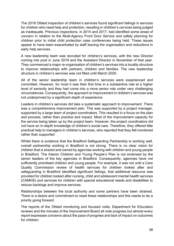The 2018 Ofsted inspection of children's services found significant failings in services for children who need help and protection, resulting in children's cervices being judged as inadequate. Previous inspections, in 2014 and 2017, had identified some areas of concern in relation to the Multi-Agency Front Door Service and safety planning for children prior to initial child protection case conferences being held. These issues appear to have been exacerbated by staff leaving the organisation and reductions in early help services.

A new leadership team was recruited for children's services, with the new Director coming into post in June 2019 and the Assistant Director in November of that year. They commenced a major re-organisation of children's services into a locality structure to improve relationships with partners, children and families. The new leadership structure in children's services was not filled until March 2020.

All of the senior leadership team in children's services were experienced and committed. However, for most it was their first time in a substantive role at a higher level of seniority and they had come into a more senior role under very challenging circumstances. Consequently, the approach to improvement in children's services was not underpinned by a significant depth of experience.

Leaders in children's services did take a systematic approach to improvement. There was a comprehensive improvement plan. This was supported by a project manager, supported by a large team of project coordinators. This resulted in a focus on the plan and process, rather than practice and impact. Most of the improvement capacity for the service being taken up by the project team. However, the project coordinators did not have an in-depth knowledge of children's social care. Therefore, they offered little practical help to managers in children's services, who reported that they felt monitored rather than supported

Whilst there is evidence that the Bradford Safeguarding Partnership is working well, overall partnership working in Bradford is not strong. There is no clear vision for children that is shared and owned by agencies working with children and young people in Bradford. The Interim Children and Young People's Plan is not endorsed by the senior leaders of the key agencies in Bradford. Consequently, agencies have not sufficiently prioritised children and young people. For example, it was not until a Care Quality Commission review of health services for children looked after and safeguarding in Bradford identified significant failings, that additional resource was provided for children looked after nursing, child and adolescent mental health services (CAMHS) and services for children with special educational needs and disabilities to reduce backlogs and improve services.

Relationships between the local authority and some partners have been strained. There is a desire and commitment to reset these relationships and this needs to be a priority going forward.

The reports of the Ofsted monitoring and focused visits, Department for Education reviews and the minutes of the Improvement Board all note progress but almost every report expresses concerns about the pace of progress and lack of impact on outcomes for children.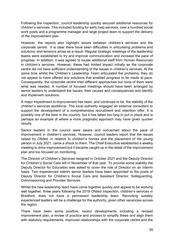Following the inspection, council leadership quickly secured additional resources for children's services. This included funding for early help services, over a hundred social work posts and a programme manager and large project team to support the delivery of the improvement plan.

However, the reports also highlight issues between children's services and the corporate centre. It is clear there have been difficulties in articulating problems and solutions, and tensions arose as a result. Regular strategic meetings of the leadership teams were established to try and improve communication and increase the pace of progress. In addition, it was agreed to locate additional staff from Human Resources in children's services. However, these had limited impact initially as the corporate centre did not have sufficient understanding of the issues in children's services. At the same time whilst the Children's Leadership Team articulated the problems, they do not appear to have offered any solutions that enabled progress to be made at pace. Consequently, the corporate centre tried different approaches but none of them were what was needed. A number of focused meetings should have been arranged by senior leaders to understand the issues, their causes and consequences and identify and implement solutions.

A major impediment to improvement has been, and continues to be, the stability of the children's services workforce. The local authority engaged an external consultant to support the development of a comprehensive recruitment and retention offer. It is possibly one of the best in the country, but it has taken too long to put in place and is perhaps an example of where a more pragmatic approach may have given quicker results.

Senior leaders in the council were aware and concerned about the pace of improvement in children's services. However, council leaders report that the issues raised by Ofsted, in relation to children's homes and the placement of the young person in July 2021, came a shock to them. The Chief Executive established a weekly meeting to drive improvement but it became caught up in the detail of the improvement plan and too focused on monitoring.

The Director of Children's Services resigned in October 2021 and the Deputy Director for Children's Social Care left in November of that year. To provide some stability the Deputy Director for Education was asked to cover the role of Director on an interim basis. Two experienced interim senior leaders have been appointed to the posts of Deputy Director for Children's Social Care and Assistant Director, Safeguarding, Commissioning and Provider Services.

Whilst the new leadership team have come together quickly and appear to be working well together, three years following the 2018 Ofsted inspection, children's services in Bradford, does not have a permanent leadership team. Recruiting suitably experienced leaders will be a challenge for the authority, given other vacancies across the region.

There have been some positive, recent developments including a revised improvement plan, a review of practice and process to simplify these and align them with statutory requirements, improved relationships with the corporate centre and the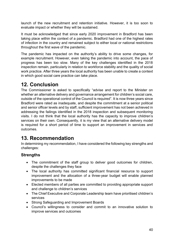launch of the new recruitment and retention initiative. However, it is too soon to evaluate impact or whether they will be sustained.

It must be acknowledged that since early 2020 improvement in Bradford has been taking place within the context of a pandemic. Bradford had one of the highest rates of infection in the country and remained subject to either local or national restrictions throughout the first wave of the pandemic.

The pandemic has impacted on the authority's ability to drive some changes, for example recruitment. However, even taking the pandemic into account, the pace of progress has been too slow. Many of the key challenges identified in the 2018 inspection remain, particularly in relation to workforce stability and the quality of social work practice. After three years the local authority has been unable to create a context in which good social care practice can take place.

# <span id="page-39-0"></span>**12. Conclusion**

The Commissioner is asked to specifically "advise and report to the Minister on whether an alternative delivery and governance arrangement for children's social care, outside of the operational control of the Council is required". It is now three years since Bradford were rated as inadequate, and despite the commitment at a senior political and senior officer levels and by staff, sufficient improvement has not been achieved in addressing the failings identified in the 2018 inspection and subsequent monitoring visits. I do not think that the local authority has the capacity to improve children's services on their own. Consequently, it is my view that an alternative delivery model is required for a short period of time to support an improvement in services and outcomes.

# <span id="page-39-1"></span>**13. Recommendation**

In determining my recommendation, I have considered the following key strengths and challenges:

## **Strengths**

- The commitment of the staff group to deliver good outcomes for children, despite the challenges they face
- The local authority has committed significant financial resource to support improvement and the allocation of a three-year budget will enable planned improvements to be made
- Elected members of all parties are committed to providing appropriate support and challenge to children's services
- The Chief Executive and Corporate Leadership team have prioritised children's services
- Strong Safeguarding and Improvement Boards
- Council's willingness to consider and commit to an innovative solution to improve services and outcomes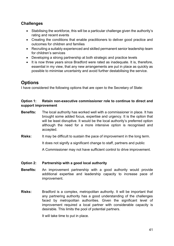#### **Challenges**

- Stabilising the workforce, this will be a particular challenge given the authority's rating and recent events
- Creating the conditions that enable practitioners to deliver good practice and outcomes for children and families
- Recruiting a suitably experienced and skilled permanent senior leadership team for children's services
- Developing a strong partnership at both strategic and practice levels
- It is now three years since Bradford were rated as inadequate. It is, therefore, essential in my view, that any new arrangements are put in place as quickly as possible to minimise uncertainty and avoid further destabilising the service.

## **Options**

I have considered the following options that are open to the Secretary of State:

#### **Option 1: Retain non-executive commissioner role to continue to direct and support improvement**

- **Benefits:** The local authority has worked well with a commissioner in place. It has brought some added focus, expertise and urgency. It is the option that will be least disruptive. It would be the local authority's preferred option although the need for a more intensive option is recognised and accepted.
- **Risks:** It may be difficult to sustain the pace of improvement in the long term.

It does not signify a significant change to staff, partners and public

A Commissioner may not have sufficient control to drive improvement.

#### **Option 2: Partnership with a good local authority**

- **Benefits:** An improvement partnership with a good authority would provide additional expertise and leadership capacity to increase pace of improvement.
- **Risks:** Bradford is a complex, metropolitan authority. It will be important that any partnering authority has a good understanding of the challenges faced by metropolitan authorities. Given the significant level of improvement required a local partner with considerable capacity is desirable. This limits the pool of potential partners.

It will take time to put in place.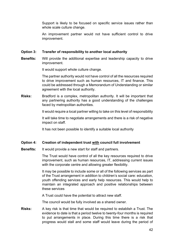Support is likely to be focused on specific service issues rather than whole scale culture change.

An improvement partner would not have sufficient control to drive improvement.

#### **Option 3: Transfer of responsibility to another local authority**

**Benefits:** Will provide the additional expertise and leadership capacity to drive improvement.

It would support whole culture change.

The partner authority would not have control of all the resources required to drive improvement such as human resources, IT and finance. This could be addressed through a Memorandum of Understanding or similar agreement with the local authority.

**Risks:** Bradford is a complex, metropolitan authority. It will be important that any partnering authority has a good understanding of the challenges faced by metropolitan authorities.

It would require a local partner willing to take on this level of responsibility

It will take time to negotiate arrangements and there is a risk of negative impact on staff.

It has not been possible to identify a suitable local authority

#### **Option 4: Creation of independent trust with council full involvement**

**Benefits:** It would provide a new start for staff and partners.

The Trust would have control of all the key resources required to drive improvement, such as human resources, IT, addressing current issues with the corporate centre and allowing greater flexibility.

It may be possible to include some or all of the following services as part of the Trust arrangement in addition to children's social care: education, youth offending services and early help resources. This would help to maintain an integrated approach and positive relationships between these services

A Trust could have the potential to attract new staff.

The council would be fully involved as a shared owner.

**Risks:** A key risk is that time that would be required to establish a Trust. The evidence to date is that a period twelve to twenty-four months is required to put arrangements in place. During this time there is a risk that progress would stall and some staff would leave during the period of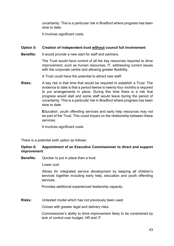uncertainty. This is a particular risk in Bradford where progress has been slow to date.

It involves significant costs.

#### **Option 5: Creation of independent trust without council full involvement**

**Benefits:** It would provide a new start for staff and partners.

The Trust would have control of all the key resources required to drive improvement, such as human resources, IT, addressing current issues with the corporate centre and allowing greater flexibility.

A Trust could have the potential to attract new staff.

**Risks:** A key risk is that time that would be required to establish a Trust. The evidence to date is that a period twelve to twenty-four months is required to put arrangements in place. During this time there is a risk that progress would stall and some staff would leave during the period of uncertainty. This is a particular risk in Bradford where progress has been slow to date.

> **E**ducation, youth offending services and early help resources may not be part of the Trust. This could impact on the relationship between these services.

It involves significant costs

There is a potential sixth option as follows:

#### **Option 6: Appointment of an Executive Commissioner to direct and support improvement**

**Benefits:** Quicker to put in place than a trust

Lower cost

Allows for integrated service development by keeping all children's services together including early help, education and youth offending services.

Provides additional experienced leadership capacity.

**Risks:** Untested model which has not previously been used

Comes with greater legal and delivery risks

Commissioner's ability to drive improvement likely to be constrained by lack of control over budget, HR and IT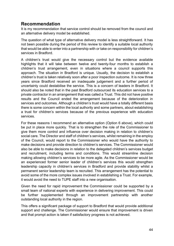## **Recommendation**

It is my recommendation that service control should be removed from the council and an alternative delivery model be established.

The question of what type of alternative delivery model is less straightforward. It has not been possible during the period of this review to identify a suitable local authority that would be able to enter into a partnership with or take on responsibility for children's services in Bradford.

A children's trust would give the necessary control but the evidence available highlights that it will take between twelve and twenty-four months to establish a children's trust arrangement, even in situations where a council supports this approach. The situation in Bradford is unique. Usually, the decision to establish a children's trust is taken relatively soon after a poor inspection outcome. It is now three years since Bradford received an inadequate judgement and a further period of uncertainty could destabilise the service. This is a concern of leaders in Bradford. It should also be noted that in the past Bradford outsourced its education services to a private contractor in an arrangement that was called a Trust. This did not have positive results and the Council ended the arrangement because of the deterioration in services and outcomes. Although a children's trust would have a totally different basis there is some concern within the local authority and some partners, about establishing a trust for children's services because of the previous experience with education services.

For these reasons I recommend an alternative option (Option 6 above), which could be put in place more quickly. That is to strengthen the role of the Commissioner to give them more control and influence over decision making in relation to children's social care. The Director and staff of children's services, whilst remaining in the employ of the Council, would report to the Commissioner who would have the authority to make decisions and provide direction to children's services. The Commissioner would also be able to make decisions in relation to the delegated children's services budget and recruitment, including terms and conditions. This would streamline decision making allowing children's services to be more agile. As the Commissioner would be an experienced former senior leader of children's services this would strengthen leadership capacity in children's services in Bradford and provide stability whilst a permanent senior leadership team is recruited. This arrangement has the potential to avoid some of the more complex issues involved in establishing a Trust. For example, it would avoid the need to TUPE staff into a new organisation.

Given the need for rapid improvement the Commissioner could be supported by a small team of national experts with experience in delivering improvement. This could be further supplemented through an improvement partnership with another outstanding local authority in the region.

This offers a significant package of support to Bradford that would provide additional support and challenge. The Commissioner would ensure that improvement is driven and that prompt action is taken if satisfactory progress is not achieved.